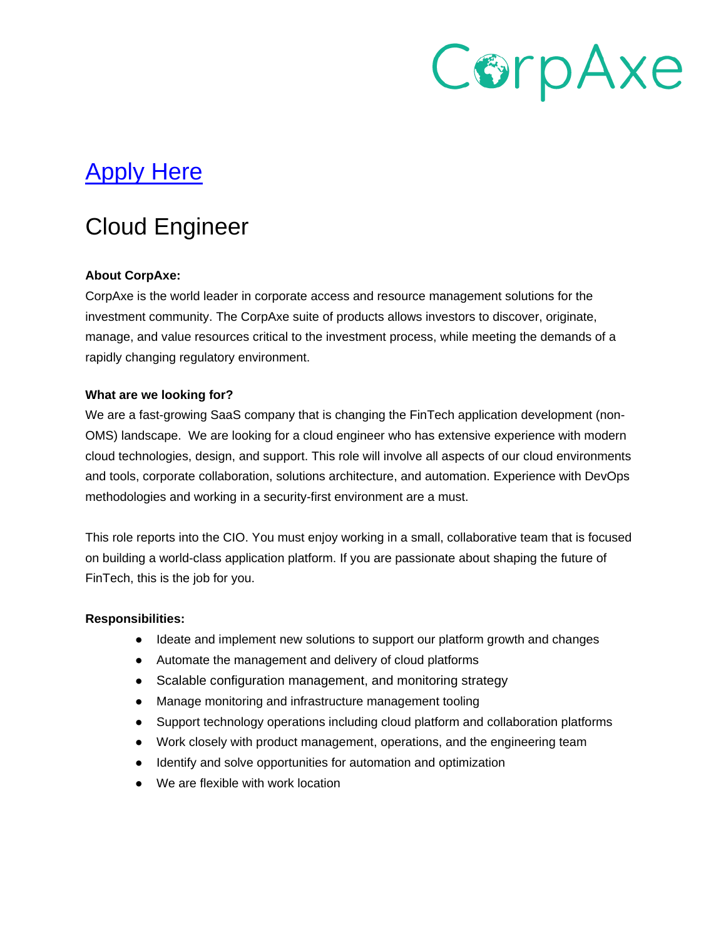# CorpAxe

## [Apply Here](https://www.ondemandassessment.com/link/index/JB-FYJ4P6Q24?source=CorpAxe&u=80691)

### Cloud Engineer

#### **About CorpAxe:**

CorpAxe is the world leader in corporate access and resource management solutions for the investment community. The CorpAxe suite of products allows investors to discover, originate, manage, and value resources critical to the investment process, while meeting the demands of a rapidly changing regulatory environment.

#### **What are we looking for?**

We are a fast-growing SaaS company that is changing the FinTech application development (non-OMS) landscape. We are looking for a cloud engineer who has extensive experience with modern cloud technologies, design, and support. This role will involve all aspects of our cloud environments and tools, corporate collaboration, solutions architecture, and automation. Experience with DevOps methodologies and working in a security-first environment are a must.

This role reports into the CIO. You must enjoy working in a small, collaborative team that is focused on building a world-class application platform. If you are passionate about shaping the future of FinTech, this is the job for you.

#### **Responsibilities:**

- Ideate and implement new solutions to support our platform growth and changes
- Automate the management and delivery of cloud platforms
- Scalable configuration management, and monitoring strategy
- Manage monitoring and infrastructure management tooling
- Support technology operations including cloud platform and collaboration platforms
- Work closely with product management, operations, and the engineering team
- Identify and solve opportunities for automation and optimization
- We are flexible with work location